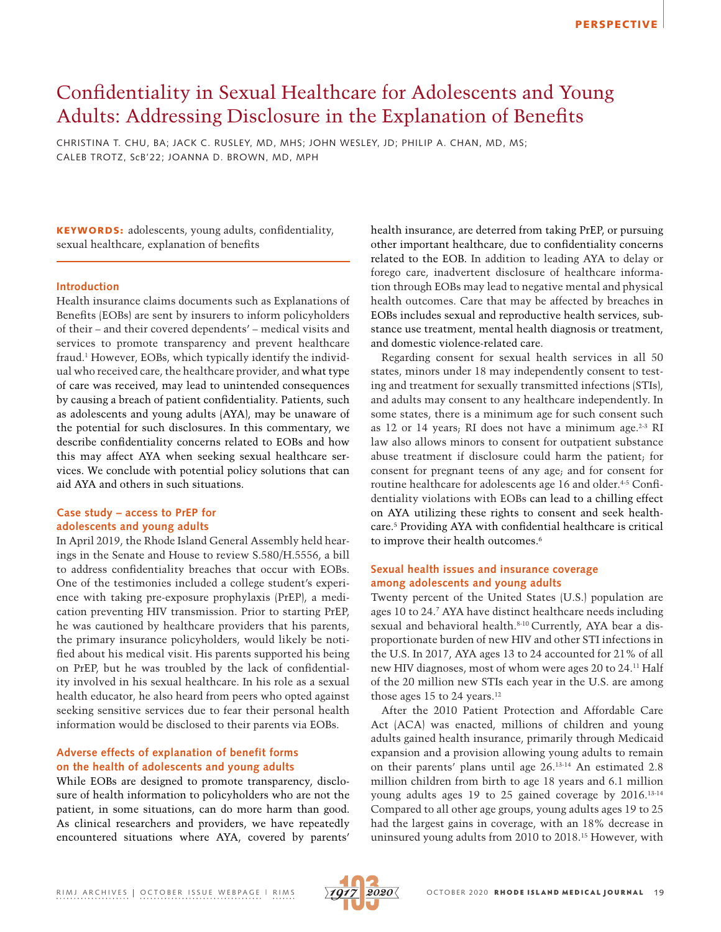# Confidentiality in Sexual Healthcare for Adolescents and Young Adults: Addressing Disclosure in the Explanation of Benefits

CHRISTINA T. CHU, BA; JACK C. RUSLEY, MD, MHS; JOHN WESLEY, JD; PHILIP A. CHAN, MD, MS; CALEB TROTZ, ScB'22; JOANNA D. BROWN, MD, MPH

KEYWORDS: adolescents, young adults, confidentiality, sexual healthcare, explanation of benefits

#### **Introduction**

Health insurance claims documents such as Explanations of Benefits (EOBs) are sent by insurers to inform policyholders of their – and their covered dependents' – medical visits and services to promote transparency and prevent healthcare fraud.1 However, EOBs, which typically identify the individual who received care, the healthcare provider, and what type of care was received, may lead to unintended consequences by causing a breach of patient confidentiality. Patients, such as adolescents and young adults (AYA), may be unaware of the potential for such disclosures. In this commentary, we describe confidentiality concerns related to EOBs and how this may affect AYA when seeking sexual healthcare services. We conclude with potential policy solutions that can aid AYA and others in such situations.

## **Case study – access to PrEP for adolescents and young adults**

In April 2019, the Rhode Island General Assembly held hearings in the Senate and House to review S.580/H.5556, a bill to address confidentiality breaches that occur with EOBs. One of the testimonies included a college student's experience with taking pre-exposure prophylaxis (PrEP), a medication preventing HIV transmission. Prior to starting PrEP, he was cautioned by healthcare providers that his parents, the primary insurance policyholders, would likely be notified about his medical visit. His parents supported his being on PrEP, but he was troubled by the lack of confidentiality involved in his sexual healthcare. In his role as a sexual health educator, he also heard from peers who opted against seeking sensitive services due to fear their personal health information would be disclosed to their parents via EOBs.

# **Adverse effects of explanation of benefit forms on the health of adolescents and young adults**

While EOBs are designed to promote transparency, disclosure of health information to policyholders who are not the patient, in some situations, can do more harm than good. As clinical researchers and providers, we have repeatedly encountered situations where AYA, covered by parents' health insurance, are deterred from taking PrEP, or pursuing other important healthcare, due to confidentiality concerns related to the EOB. In addition to leading AYA to delay or forego care, inadvertent disclosure of healthcare information through EOBs may lead to negative mental and physical health outcomes. Care that may be affected by breaches in EOBs includes sexual and reproductive health services, substance use treatment, mental health diagnosis or treatment, and domestic violence-related care.

Regarding consent for sexual health services in all 50 states, minors under 18 may independently consent to testing and treatment for sexually transmitted infections (STIs), and adults may consent to any healthcare independently. In some states, there is a minimum age for such consent such as 12 or 14 years; RI does not have a minimum age.<sup>2-3</sup> RI law also allows minors to consent for outpatient substance abuse treatment if disclosure could harm the patient; for consent for pregnant teens of any age; and for consent for routine healthcare for adolescents age 16 and older.<sup>4-5</sup> Confidentiality violations with EOBs can lead to a chilling effect on AYA utilizing these rights to consent and seek healthcare.5 Providing AYA with confidential healthcare is critical to improve their health outcomes.<sup>6</sup>

# **Sexual health issues and insurance coverage among adolescents and young adults**

Twenty percent of the United States (U.S.) population are ages 10 to 24.7 AYA have distinct healthcare needs including sexual and behavioral health.<sup>8-10</sup> Currently, AYA bear a disproportionate burden of new HIV and other STI infections in the U.S. In 2017, AYA ages 13 to 24 accounted for 21% of all new HIV diagnoses, most of whom were ages 20 to 24.11 Half of the 20 million new STIs each year in the U.S. are among those ages 15 to 24 years.<sup>12</sup>

After the 2010 Patient Protection and Affordable Care Act (ACA) was enacted, millions of children and young adults gained health insurance, primarily through Medicaid expansion and a provision allowing young adults to remain on their parents' plans until age 26.13-14 An estimated 2.8 million children from birth to age 18 years and 6.1 million young adults ages 19 to 25 gained coverage by 2016.13-14 Compared to all other age groups, young adults ages 19 to 25 had the largest gains in coverage, with an 18% decrease in uninsured young adults from 2010 to 2018.15 However, with

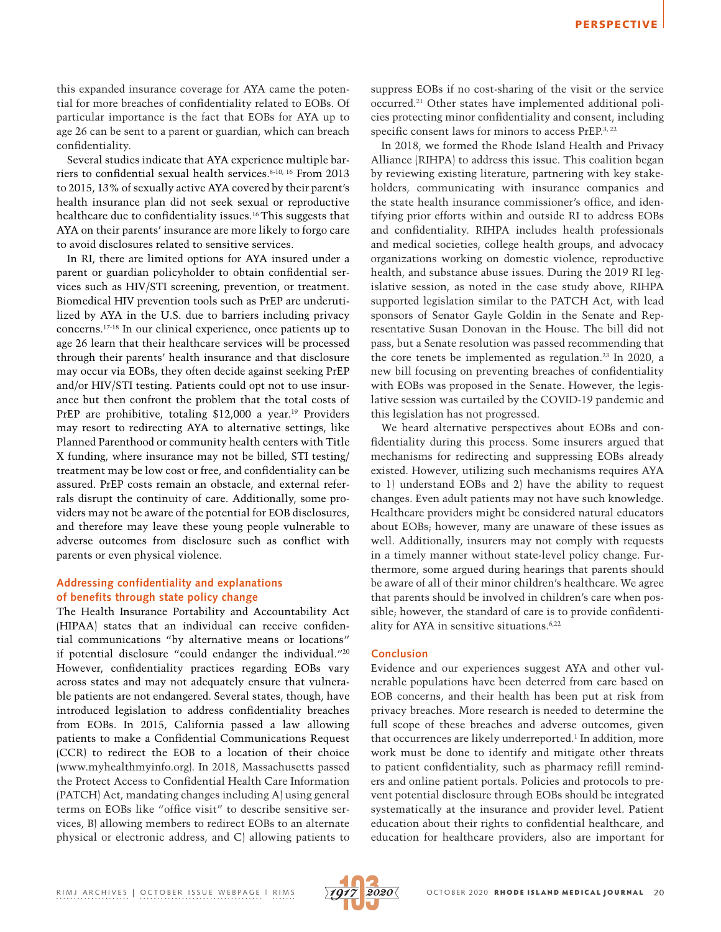this expanded insurance coverage for AYA came the potential for more breaches of confidentiality related to EOBs. Of particular importance is the fact that EOBs for AYA up to age 26 can be sent to a parent or guardian, which can breach confidentiality.

Several studies indicate that AYA experience multiple barriers to confidential sexual health services.8-10, 16 From 2013 to 2015, 13% of sexually active AYA covered by their parent's health insurance plan did not seek sexual or reproductive healthcare due to confidentiality issues.<sup>16</sup> This suggests that AYA on their parents' insurance are more likely to forgo care to avoid disclosures related to sensitive services.

In RI, there are limited options for AYA insured under a parent or guardian policyholder to obtain confidential services such as HIV/STI screening, prevention, or treatment. Biomedical HIV prevention tools such as PrEP are underutilized by AYA in the U.S. due to barriers including privacy concerns.17-18 In our clinical experience, once patients up to age 26 learn that their healthcare services will be processed through their parents' health insurance and that disclosure may occur via EOBs, they often decide against seeking PrEP and/or HIV/STI testing. Patients could opt not to use insurance but then confront the problem that the total costs of PrEP are prohibitive, totaling \$12,000 a year.<sup>19</sup> Providers may resort to redirecting AYA to alternative settings, like Planned Parenthood or community health centers with Title X funding, where insurance may not be billed, STI testing/ treatment may be low cost or free, and confidentiality can be assured. PrEP costs remain an obstacle, and external referrals disrupt the continuity of care. Additionally, some providers may not be aware of the potential for EOB disclosures, and therefore may leave these young people vulnerable to adverse outcomes from disclosure such as conflict with parents or even physical violence.

### **Addressing confidentiality and explanations of benefits through state policy change**

The Health Insurance Portability and Accountability Act (HIPAA) states that an individual can receive confidential communications "by alternative means or locations" if potential disclosure "could endanger the individual."20 However, confidentiality practices regarding EOBs vary across states and may not adequately ensure that vulnerable patients are not endangered. Several states, though, have introduced legislation to address confidentiality breaches from EOBs. In 2015, California passed a law allowing patients to make a Confidential Communications Request (CCR) to redirect the EOB to a location of their choice ([www.myhealthmyinfo.org\)](about:blank). In 2018, Massachusetts passed the Protect Access to Confidential Health Care Information (PATCH) Act, mandating changes including A) using general terms on EOBs like "office visit" to describe sensitive services, B) allowing members to redirect EOBs to an alternate physical or electronic address, and C) allowing patients to

suppress EOBs if no cost-sharing of the visit or the service occurred.21 Other states have implemented additional policies protecting minor confidentiality and consent, including specific consent laws for minors to access PrEP.<sup>3, 22</sup>

In 2018, we formed the Rhode Island Health and Privacy Alliance (RIHPA) to address this issue. This coalition began by reviewing existing literature, partnering with key stakeholders, communicating with insurance companies and the state health insurance commissioner's office, and identifying prior efforts within and outside RI to address EOBs and confidentiality. RIHPA includes health professionals and medical societies, college health groups, and advocacy organizations working on domestic violence, reproductive health, and substance abuse issues. During the 2019 RI legislative session, as noted in the case study above, RIHPA supported legislation similar to the PATCH Act, with lead sponsors of Senator Gayle Goldin in the Senate and Representative Susan Donovan in the House. The bill did not pass, but a Senate resolution was passed recommending that the core tenets be implemented as regulation.<sup>23</sup> In 2020, a new bill focusing on preventing breaches of confidentiality with EOBs was proposed in the Senate. However, the legislative session was curtailed by the COVID-19 pandemic and this legislation has not progressed.

We heard alternative perspectives about EOBs and confidentiality during this process. Some insurers argued that mechanisms for redirecting and suppressing EOBs already existed. However, utilizing such mechanisms requires AYA to 1) understand EOBs and 2) have the ability to request changes. Even adult patients may not have such knowledge. Healthcare providers might be considered natural educators about EOBs; however, many are unaware of these issues as well. Additionally, insurers may not comply with requests in a timely manner without state-level policy change. Furthermore, some argued during hearings that parents should be aware of all of their minor children's healthcare. We agree that parents should be involved in children's care when possible; however, the standard of care is to provide confidentiality for AYA in sensitive situations.6,22

#### **Conclusion**

Evidence and our experiences suggest AYA and other vulnerable populations have been deterred from care based on EOB concerns, and their health has been put at risk from privacy breaches. More research is needed to determine the full scope of these breaches and adverse outcomes, given that occurrences are likely underreported.<sup>1</sup> In addition, more work must be done to identify and mitigate other threats to patient confidentiality, such as pharmacy refill reminders and online patient portals. Policies and protocols to prevent potential disclosure through EOBs should be integrated systematically at the insurance and provider level. Patient education about their rights to confidential healthcare, and education for healthcare providers, also are important for